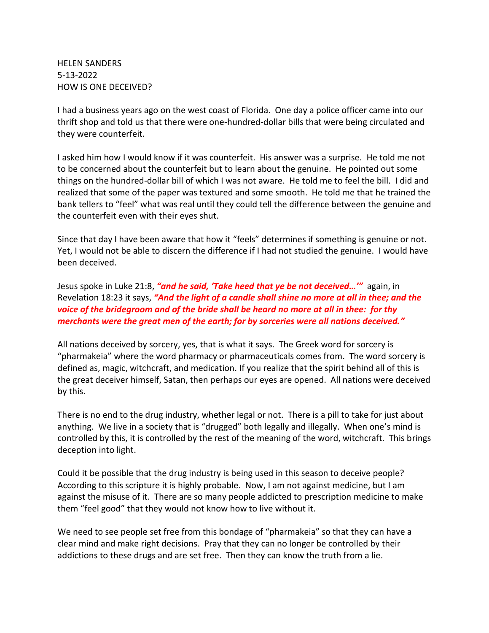HELEN SANDERS 5-13-2022 HOW IS ONE DECEIVED?

I had a business years ago on the west coast of Florida. One day a police officer came into our thrift shop and told us that there were one-hundred-dollar bills that were being circulated and they were counterfeit.

I asked him how I would know if it was counterfeit. His answer was a surprise. He told me not to be concerned about the counterfeit but to learn about the genuine. He pointed out some things on the hundred-dollar bill of which I was not aware. He told me to feel the bill. I did and realized that some of the paper was textured and some smooth. He told me that he trained the bank tellers to "feel" what was real until they could tell the difference between the genuine and the counterfeit even with their eyes shut.

Since that day I have been aware that how it "feels" determines if something is genuine or not. Yet, I would not be able to discern the difference if I had not studied the genuine. I would have been deceived.

Jesus spoke in Luke 21:8, *"and he said, 'Take heed that ye be not deceived…'"* again, in Revelation 18:23 it says, *"And the light of a candle shall shine no more at all in thee; and the voice of the bridegroom and of the bride shall be heard no more at all in thee: for thy merchants were the great men of the earth; for by sorceries were all nations deceived."*

All nations deceived by sorcery, yes, that is what it says. The Greek word for sorcery is "pharmakeia" where the word pharmacy or pharmaceuticals comes from. The word sorcery is defined as, magic, witchcraft, and medication. If you realize that the spirit behind all of this is the great deceiver himself, Satan, then perhaps our eyes are opened. All nations were deceived by this.

There is no end to the drug industry, whether legal or not. There is a pill to take for just about anything. We live in a society that is "drugged" both legally and illegally. When one's mind is controlled by this, it is controlled by the rest of the meaning of the word, witchcraft. This brings deception into light.

Could it be possible that the drug industry is being used in this season to deceive people? According to this scripture it is highly probable. Now, I am not against medicine, but I am against the misuse of it. There are so many people addicted to prescription medicine to make them "feel good" that they would not know how to live without it.

We need to see people set free from this bondage of "pharmakeia" so that they can have a clear mind and make right decisions. Pray that they can no longer be controlled by their addictions to these drugs and are set free. Then they can know the truth from a lie.